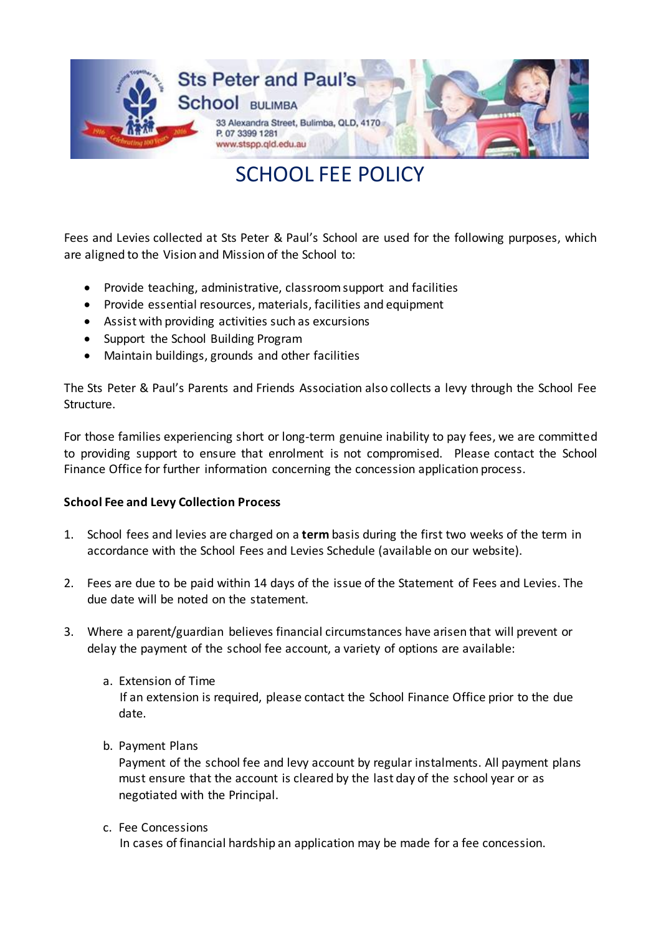

SCHOOL FEE POLICY

Fees and Levies collected at Sts Peter & Paul's School are used for the following purposes, which are aligned to the Vision and Mission of the School to:

- Provide teaching, administrative, classroom support and facilities
- Provide essential resources, materials, facilities and equipment
- Assist with providing activities such as excursions
- Support the School Building Program
- Maintain buildings, grounds and other facilities

The Sts Peter & Paul's Parents and Friends Association also collects a levy through the School Fee Structure.

For those families experiencing short or long-term genuine inability to pay fees, we are committed to providing support to ensure that enrolment is not compromised. Please contact the School Finance Office for further information concerning the concession application process.

## **School Fee and Levy Collection Process**

- 1. School fees and levies are charged on a **term** basis during the first two weeks of the term in accordance with the School Fees and Levies Schedule (available on our website).
- 2. Fees are due to be paid within 14 days of the issue of the Statement of Fees and Levies. The due date will be noted on the statement.
- 3. Where a parent/guardian believes financial circumstances have arisen that will prevent or delay the payment of the school fee account, a variety of options are available:
	- a. Extension of Time If an extension is required, please contact the School Finance Office prior to the due date.
	- b. Payment Plans

Payment of the school fee and levy account by regular instalments. All payment plans must ensure that the account is cleared by the last day of the school year or as negotiated with the Principal.

c. Fee Concessions

In cases of financial hardship an application may be made for a fee concession.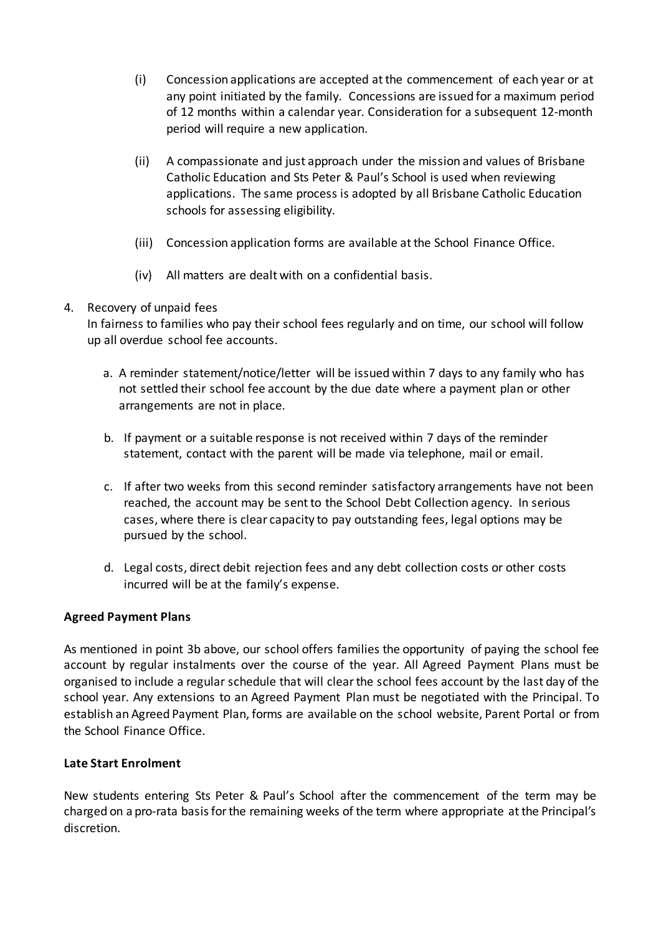- (i) Concession applications are accepted at the commencement of each year or at any point initiated by the family. Concessions are issued for a maximum period of 12 months within a calendar year. Consideration for a subsequent 12-month period will require a new application.
- (ii) A compassionate and just approach under the mission and values of Brisbane Catholic Education and Sts Peter & Paul's School is used when reviewing applications. The same process is adopted by all Brisbane Catholic Education schools for assessing eligibility.
- (iii) Concession application forms are available at the School Finance Office.
- (iv) All matters are dealt with on a confidential basis.

# 4. Recovery of unpaid fees

In fairness to families who pay their school fees regularly and on time, our school will follow up all overdue school fee accounts.

- a. A reminder statement/notice/letter will be issued within 7 days to any family who has not settled their school fee account by the due date where a payment plan or other arrangements are not in place.
- b. If payment or a suitable response is not received within 7 days of the reminder statement, contact with the parent will be made via telephone, mail or email.
- c. If after two weeks from this second reminder satisfactory arrangements have not been reached, the account may be sent to the School Debt Collection agency. In serious cases, where there is clear capacity to pay outstanding fees, legal options may be pursued by the school.
- d. Legal costs, direct debit rejection fees and any debt collection costs or other costs incurred will be at the family's expense.

## **Agreed Payment Plans**

As mentioned in point 3b above, our school offers families the opportunity of paying the school fee account by regular instalments over the course of the year. All Agreed Payment Plans must be organised to include a regular schedule that will clear the school fees account by the last day of the school year. Any extensions to an Agreed Payment Plan must be negotiated with the Principal. To establish an Agreed Payment Plan, forms are available on the school website, Parent Portal or from the School Finance Office.

## **Late Start Enrolment**

New students entering Sts Peter & Paul's School after the commencement of the term may be charged on a pro-rata basis for the remaining weeks of the term where appropriate at the Principal's discretion.